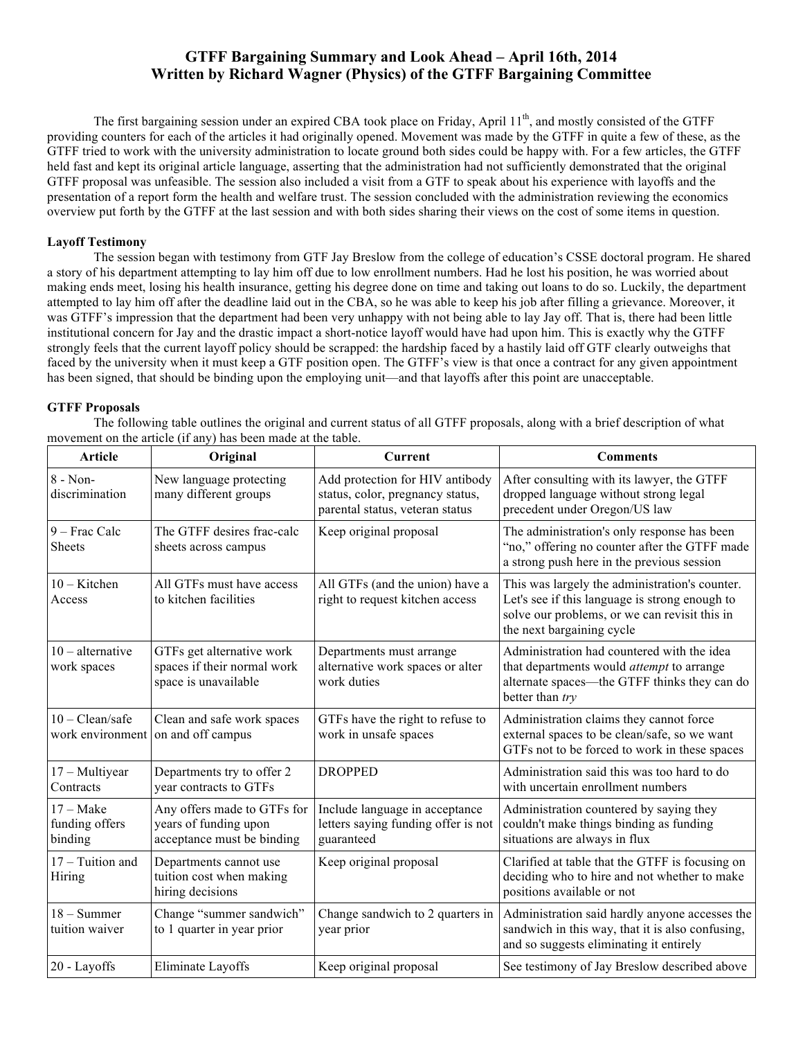# **GTFF Bargaining Summary and Look Ahead – April 16th, 2014 Written by Richard Wagner (Physics) of the GTFF Bargaining Committee**

The first bargaining session under an expired CBA took place on Friday, April  $11<sup>th</sup>$ , and mostly consisted of the GTFF providing counters for each of the articles it had originally opened. Movement was made by the GTFF in quite a few of these, as the GTFF tried to work with the university administration to locate ground both sides could be happy with. For a few articles, the GTFF held fast and kept its original article language, asserting that the administration had not sufficiently demonstrated that the original GTFF proposal was unfeasible. The session also included a visit from a GTF to speak about his experience with layoffs and the presentation of a report form the health and welfare trust. The session concluded with the administration reviewing the economics overview put forth by the GTFF at the last session and with both sides sharing their views on the cost of some items in question.

#### **Layoff Testimony**

The session began with testimony from GTF Jay Breslow from the college of education's CSSE doctoral program. He shared a story of his department attempting to lay him off due to low enrollment numbers. Had he lost his position, he was worried about making ends meet, losing his health insurance, getting his degree done on time and taking out loans to do so. Luckily, the department attempted to lay him off after the deadline laid out in the CBA, so he was able to keep his job after filling a grievance. Moreover, it was GTFF's impression that the department had been very unhappy with not being able to lay Jay off. That is, there had been little institutional concern for Jay and the drastic impact a short-notice layoff would have had upon him. This is exactly why the GTFF strongly feels that the current layoff policy should be scrapped: the hardship faced by a hastily laid off GTF clearly outweighs that faced by the university when it must keep a GTF position open. The GTFF's view is that once a contract for any given appointment has been signed, that should be binding upon the employing unit—and that layoffs after this point are unacceptable.

#### **GTFF Proposals**

The following table outlines the original and current status of all GTFF proposals, along with a brief description of what movement on the article (if any) has been made at the table.

| <b>Article</b>                           | Original                                                                           | <b>Current</b>                                                                                         | <b>Comments</b>                                                                                                                                                                |
|------------------------------------------|------------------------------------------------------------------------------------|--------------------------------------------------------------------------------------------------------|--------------------------------------------------------------------------------------------------------------------------------------------------------------------------------|
| $8 - Non-$<br>discrimination             | New language protecting<br>many different groups                                   | Add protection for HIV antibody<br>status, color, pregnancy status,<br>parental status, veteran status | After consulting with its lawyer, the GTFF<br>dropped language without strong legal<br>precedent under Oregon/US law                                                           |
| 9 - Frac Calc<br><b>Sheets</b>           | The GTFF desires frac-calc<br>sheets across campus                                 | Keep original proposal                                                                                 | The administration's only response has been<br>"no," offering no counter after the GTFF made<br>a strong push here in the previous session                                     |
| $10 -$ Kitchen<br>Access                 | All GTFs must have access<br>to kitchen facilities                                 | All GTFs (and the union) have a<br>right to request kitchen access                                     | This was largely the administration's counter.<br>Let's see if this language is strong enough to<br>solve our problems, or we can revisit this in<br>the next bargaining cycle |
| $10$ – alternative<br>work spaces        | GTFs get alternative work<br>spaces if their normal work<br>space is unavailable   | Departments must arrange<br>alternative work spaces or alter<br>work duties                            | Administration had countered with the idea<br>that departments would attempt to arrange<br>alternate spaces—the GTFF thinks they can do<br>better than try                     |
| $10 - Clean/safe$<br>work environment    | Clean and safe work spaces<br>on and off campus                                    | GTFs have the right to refuse to<br>work in unsafe spaces                                              | Administration claims they cannot force<br>external spaces to be clean/safe, so we want<br>GTFs not to be forced to work in these spaces                                       |
| $17 - Multiyear$<br>Contracts            | Departments try to offer 2<br>year contracts to GTFs                               | <b>DROPPED</b>                                                                                         | Administration said this was too hard to do<br>with uncertain enrollment numbers                                                                                               |
| $17 - Make$<br>funding offers<br>binding | Any offers made to GTFs for<br>years of funding upon<br>acceptance must be binding | Include language in acceptance<br>letters saying funding offer is not<br>guaranteed                    | Administration countered by saying they<br>couldn't make things binding as funding<br>situations are always in flux                                                            |
| 17 - Tuition and<br>Hiring               | Departments cannot use<br>tuition cost when making<br>hiring decisions             | Keep original proposal                                                                                 | Clarified at table that the GTFF is focusing on<br>deciding who to hire and not whether to make<br>positions available or not                                                  |
| $18 -$ Summer<br>tuition waiver          | Change "summer sandwich"<br>to 1 quarter in year prior                             | Change sandwich to 2 quarters in<br>year prior                                                         | Administration said hardly anyone accesses the<br>sandwich in this way, that it is also confusing,<br>and so suggests eliminating it entirely                                  |
| 20 - Lavoffs                             | Eliminate Lavoffs                                                                  | Keep original proposal                                                                                 | See testimony of Jay Breslow described above                                                                                                                                   |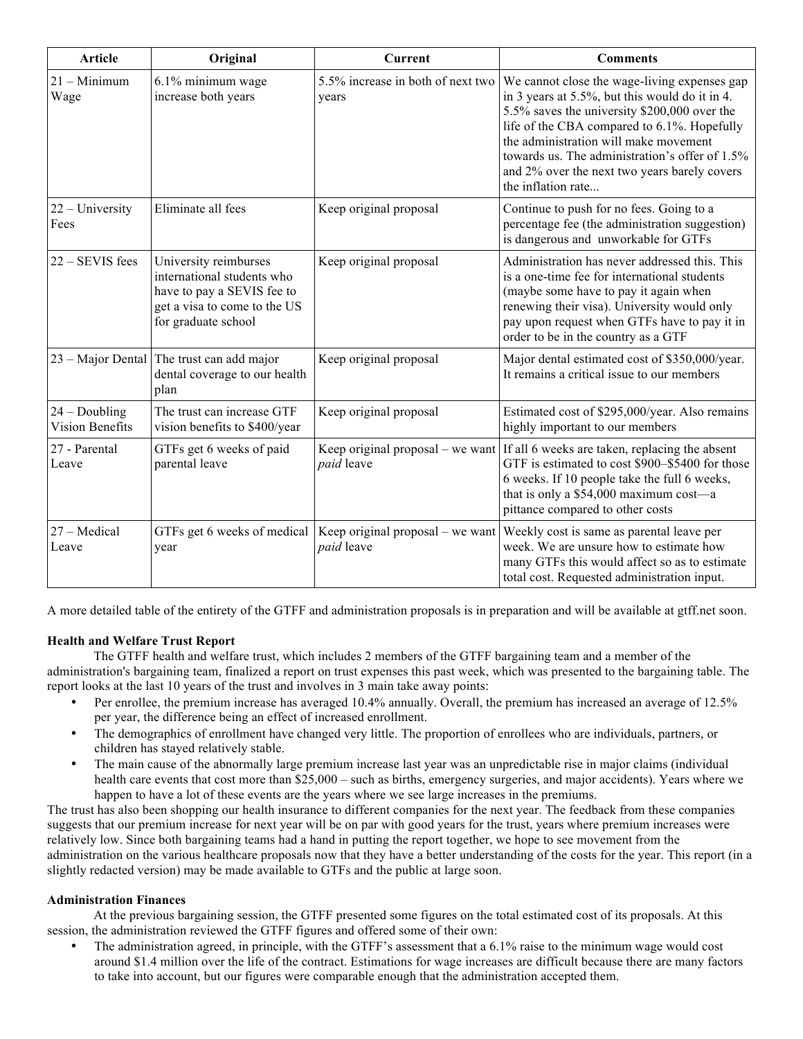| <b>Article</b>                            | Original                                                                                                                                 | <b>Current</b>                                 | <b>Comments</b>                                                                                                                                                                                                                                                                                                                                                |
|-------------------------------------------|------------------------------------------------------------------------------------------------------------------------------------------|------------------------------------------------|----------------------------------------------------------------------------------------------------------------------------------------------------------------------------------------------------------------------------------------------------------------------------------------------------------------------------------------------------------------|
| $21 -$ Minimum<br>Wage                    | 6.1% minimum wage<br>increase both years                                                                                                 | 5.5% increase in both of next two<br>years     | We cannot close the wage-living expenses gap<br>in 3 years at 5.5%, but this would do it in 4.<br>5.5% saves the university \$200,000 over the<br>life of the CBA compared to 6.1%. Hopefully<br>the administration will make movement<br>towards us. The administration's offer of 1.5%<br>and 2% over the next two years barely covers<br>the inflation rate |
| $22 - University$<br>Fees                 | Eliminate all fees                                                                                                                       | Keep original proposal                         | Continue to push for no fees. Going to a<br>percentage fee (the administration suggestion)<br>is dangerous and unworkable for GTFs                                                                                                                                                                                                                             |
| 22 - SEVIS fees                           | University reimburses<br>international students who<br>have to pay a SEVIS fee to<br>get a visa to come to the US<br>for graduate school | Keep original proposal                         | Administration has never addressed this. This<br>is a one-time fee for international students<br>(maybe some have to pay it again when<br>renewing their visa). University would only<br>pay upon request when GTFs have to pay it in<br>order to be in the country as a GTF                                                                                   |
|                                           | 23 – Major Dental The trust can add major<br>dental coverage to our health<br>plan                                                       | Keep original proposal                         | Major dental estimated cost of \$350,000/year.<br>It remains a critical issue to our members                                                                                                                                                                                                                                                                   |
| $24 - Doubling$<br><b>Vision Benefits</b> | The trust can increase GTF<br>vision benefits to \$400/year                                                                              | Keep original proposal                         | Estimated cost of \$295,000/year. Also remains<br>highly important to our members                                                                                                                                                                                                                                                                              |
| 27 - Parental<br>Leave                    | GTFs get 6 weeks of paid<br>parental leave                                                                                               | Keep original proposal – we want<br>paid leave | If all 6 weeks are taken, replacing the absent<br>GTF is estimated to cost \$900-\$5400 for those<br>6 weeks. If 10 people take the full 6 weeks,<br>that is only a \$54,000 maximum cost-a<br>pittance compared to other costs                                                                                                                                |
| 27 – Medical<br>Leave                     | GTFs get 6 weeks of medical<br>year                                                                                                      | Keep original proposal – we want<br>paid leave | Weekly cost is same as parental leave per<br>week. We are unsure how to estimate how<br>many GTFs this would affect so as to estimate<br>total cost. Requested administration input.                                                                                                                                                                           |

A more detailed table of the entirety of the GTFF and administration proposals is in preparation and will be available at gtff.net soon.

## **Health and Welfare Trust Report**

The GTFF health and welfare trust, which includes 2 members of the GTFF bargaining team and a member of the administration's bargaining team, finalized a report on trust expenses this past week, which was presented to the bargaining table. The report looks at the last 10 years of the trust and involves in 3 main take away points:

- Per enrollee, the premium increase has averaged 10.4% annually. Overall, the premium has increased an average of 12.5% per year, the difference being an effect of increased enrollment.
- The demographics of enrollment have changed very little. The proportion of enrollees who are individuals, partners, or children has stayed relatively stable.
- The main cause of the abnormally large premium increase last year was an unpredictable rise in major claims (individual health care events that cost more than \$25,000 – such as births, emergency surgeries, and major accidents). Years where we happen to have a lot of these events are the years where we see large increases in the premiums.

The trust has also been shopping our health insurance to different companies for the next year. The feedback from these companies suggests that our premium increase for next year will be on par with good years for the trust, years where premium increases were relatively low. Since both bargaining teams had a hand in putting the report together, we hope to see movement from the administration on the various healthcare proposals now that they have a better understanding of the costs for the year. This report (in a slightly redacted version) may be made available to GTFs and the public at large soon.

## **Administration Finances**

At the previous bargaining session, the GTFF presented some figures on the total estimated cost of its proposals. At this session, the administration reviewed the GTFF figures and offered some of their own:

The administration agreed, in principle, with the GTFF's assessment that a 6.1% raise to the minimum wage would cost around \$1.4 million over the life of the contract. Estimations for wage increases are difficult because there are many factors to take into account, but our figures were comparable enough that the administration accepted them.